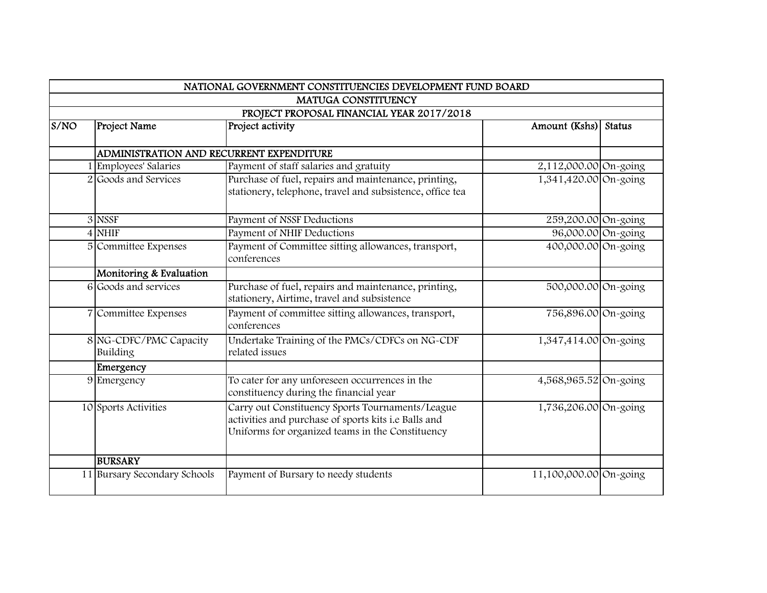|                                           |                                          | NATIONAL GOVERNMENT CONSTITUENCIES DEVELOPMENT FUND BOARD                                                                                                    |                        |               |  |
|-------------------------------------------|------------------------------------------|--------------------------------------------------------------------------------------------------------------------------------------------------------------|------------------------|---------------|--|
|                                           |                                          | <b>MATUGA CONSTITUENCY</b>                                                                                                                                   |                        |               |  |
| PROJECT PROPOSAL FINANCIAL YEAR 2017/2018 |                                          |                                                                                                                                                              |                        |               |  |
| S/NO                                      | Project Name                             | Project activity                                                                                                                                             | Amount (Kshs)          | <b>Status</b> |  |
|                                           |                                          |                                                                                                                                                              |                        |               |  |
|                                           | ADMINISTRATION AND RECURRENT EXPENDITURE |                                                                                                                                                              |                        |               |  |
|                                           | Employees' Salaries                      | Payment of staff salaries and gratuity                                                                                                                       | 2,112,000.00 On-going  |               |  |
|                                           | 2 Goods and Services                     | Purchase of fuel, repairs and maintenance, printing,<br>stationery, telephone, travel and subsistence, office tea                                            | 1,341,420.00 On-going  |               |  |
|                                           | 3 NSSF                                   | Payment of NSSF Deductions                                                                                                                                   | 259,200.00 On-going    |               |  |
|                                           | 4 NHIF                                   | Payment of NHIF Deductions                                                                                                                                   | 96,000.00 On-going     |               |  |
|                                           | 5 Committee Expenses                     | Payment of Committee sitting allowances, transport,<br>conferences                                                                                           | 400,000.00 On-going    |               |  |
|                                           | Monitoring & Evaluation                  |                                                                                                                                                              |                        |               |  |
|                                           | 6 Goods and services                     | Purchase of fuel, repairs and maintenance, printing,<br>stationery, Airtime, travel and subsistence                                                          | 500,000.00 On-going    |               |  |
|                                           | 7 Committee Expenses                     | Payment of committee sitting allowances, transport,<br>conferences                                                                                           | 756,896.00 On-going    |               |  |
|                                           | 8 NG-CDFC/PMC Capacity<br>Building       | Undertake Training of the PMCs/CDFCs on NG-CDF<br>related issues                                                                                             | 1,347,414.00 On-going  |               |  |
|                                           | Emergency                                |                                                                                                                                                              |                        |               |  |
|                                           | 9 Emergency                              | To cater for any unforeseen occurrences in the<br>constituency during the financial year                                                                     | 4,568,965.52 On-going  |               |  |
|                                           | 10 Sports Activities                     | Carry out Constituency Sports Tournaments/League<br>activities and purchase of sports kits i.e Balls and<br>Uniforms for organized teams in the Constituency | 1,736,206.00 On-going  |               |  |
|                                           | <b>BURSARY</b>                           |                                                                                                                                                              |                        |               |  |
|                                           | 11 Bursary Secondary Schools             | Payment of Bursary to needy students                                                                                                                         | 11,100,000.00 On-going |               |  |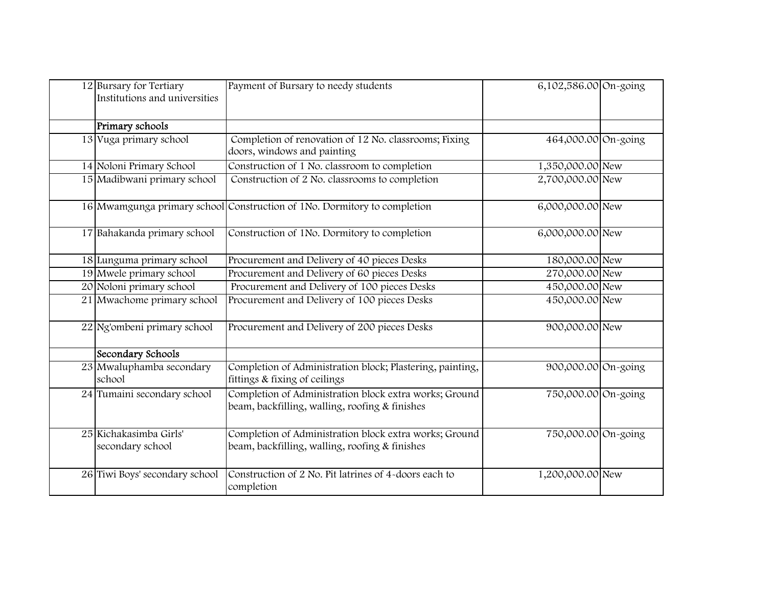| 12 Bursary for Tertiary<br>Institutions and universities | Payment of Bursary to needy students                                                                     | 6,102,586.00 On-going |  |
|----------------------------------------------------------|----------------------------------------------------------------------------------------------------------|-----------------------|--|
| Primary schools                                          |                                                                                                          |                       |  |
| 13 Vuga primary school                                   | Completion of renovation of 12 No. classrooms; Fixing<br>doors, windows and painting                     | 464,000.00 On-going   |  |
| 14 Noloni Primary School                                 | Construction of 1 No. classroom to completion                                                            | 1,350,000.00 New      |  |
| 15 Madibwani primary school                              | Construction of 2 No. classrooms to completion                                                           | 2,700,000.00 New      |  |
|                                                          | 16 Mwamgunga primary school Construction of 1No. Dormitory to completion                                 | 6,000,000.00 New      |  |
| 17 Bahakanda primary school                              | Construction of 1No. Dormitory to completion                                                             | 6,000,000.00 New      |  |
| 18 Lunguma primary school                                | Procurement and Delivery of 40 pieces Desks                                                              | 180,000.00 New        |  |
| 19 Mwele primary school                                  | Procurement and Delivery of 60 pieces Desks                                                              | 270,000.00 New        |  |
| 20 Noloni primary school                                 | Procurement and Delivery of 100 pieces Desks                                                             | 450,000.00 New        |  |
| 21 Mwachome primary school                               | Procurement and Delivery of 100 pieces Desks                                                             | 450,000.00 New        |  |
| 22 Ng'ombeni primary school                              | Procurement and Delivery of 200 pieces Desks                                                             | 900,000.00 New        |  |
| Secondary Schools                                        |                                                                                                          |                       |  |
| 23 Mwaluphamba secondary<br>school                       | Completion of Administration block; Plastering, painting,<br>fittings & fixing of ceilings               | 900,000.00 On-going   |  |
| 24 Tumaini secondary school                              | Completion of Administration block extra works; Ground<br>beam, backfilling, walling, roofing & finishes | 750,000.00 On-going   |  |
| 25 Kichakasimba Girls'<br>secondary school               | Completion of Administration block extra works; Ground<br>beam, backfilling, walling, roofing & finishes | 750,000.00 On-going   |  |
| 26 Tiwi Boys' secondary school                           | Construction of 2 No. Pit latrines of 4-doors each to<br>completion                                      | 1,200,000.00 New      |  |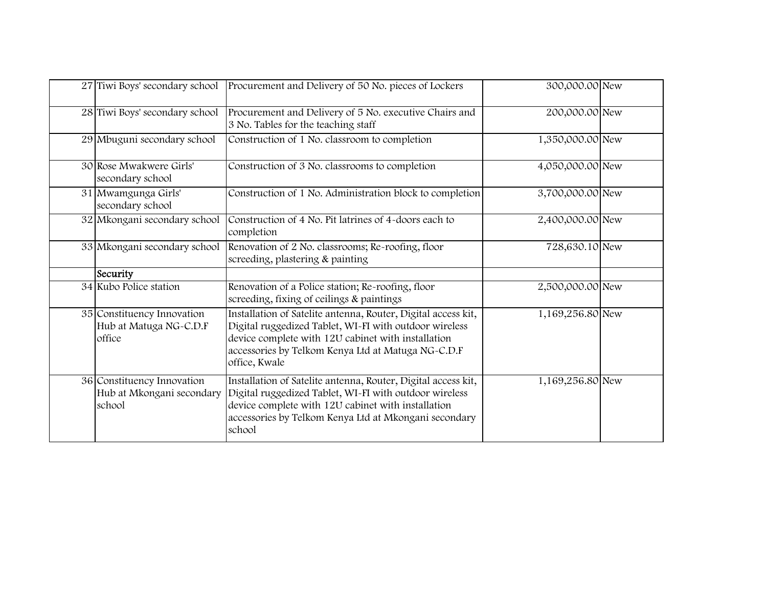| 27 Tiwi Boys' secondary school                                    | Procurement and Delivery of 50 No. pieces of Lockers                                                                                                                                                                                                 | 300,000.00 New   |  |
|-------------------------------------------------------------------|------------------------------------------------------------------------------------------------------------------------------------------------------------------------------------------------------------------------------------------------------|------------------|--|
| 28 Tiwi Boys' secondary school                                    | Procurement and Delivery of 5 No. executive Chairs and<br>3 No. Tables for the teaching staff                                                                                                                                                        | 200,000.00 New   |  |
| 29 Mbuguni secondary school                                       | Construction of 1 No. classroom to completion                                                                                                                                                                                                        | 1,350,000.00 New |  |
| 30 Rose Mwakwere Girls'<br>secondary school                       | Construction of 3 No. classrooms to completion                                                                                                                                                                                                       | 4,050,000.00 New |  |
| 31 Mwamgunga Girls'<br>secondary school                           | Construction of 1 No. Administration block to completion                                                                                                                                                                                             | 3,700,000.00 New |  |
| 32 Mkongani secondary school                                      | Construction of 4 No. Pit latrines of 4-doors each to<br>completion                                                                                                                                                                                  | 2,400,000.00 New |  |
| 33 Mkongani secondary school                                      | Renovation of 2 No. classrooms; Re-roofing, floor<br>screeding, plastering & painting                                                                                                                                                                | 728,630.10 New   |  |
| Security                                                          |                                                                                                                                                                                                                                                      |                  |  |
| 34 Kubo Police station                                            | Renovation of a Police station; Re-roofing, floor<br>screeding, fixing of ceilings & paintings                                                                                                                                                       | 2,500,000.00 New |  |
| 35 Constituency Innovation<br>Hub at Matuga NG-C.D.F<br>office    | Installation of Satelite antenna, Router, Digital access kit,<br>Digital ruggedized Tablet, WI-FI with outdoor wireless<br>device complete with 12U cabinet with installation<br>accessories by Telkom Kenya Ltd at Matuga NG-C.D.F<br>office, Kwale | 1,169,256.80 New |  |
| 36 Constituency Innovation<br>Hub at Mkongani secondary<br>school | Installation of Satelite antenna, Router, Digital access kit,<br>Digital ruggedized Tablet, WI-FI with outdoor wireless<br>device complete with 12U cabinet with installation<br>accessories by Telkom Kenya Ltd at Mkongani secondary<br>school     | 1,169,256.80 New |  |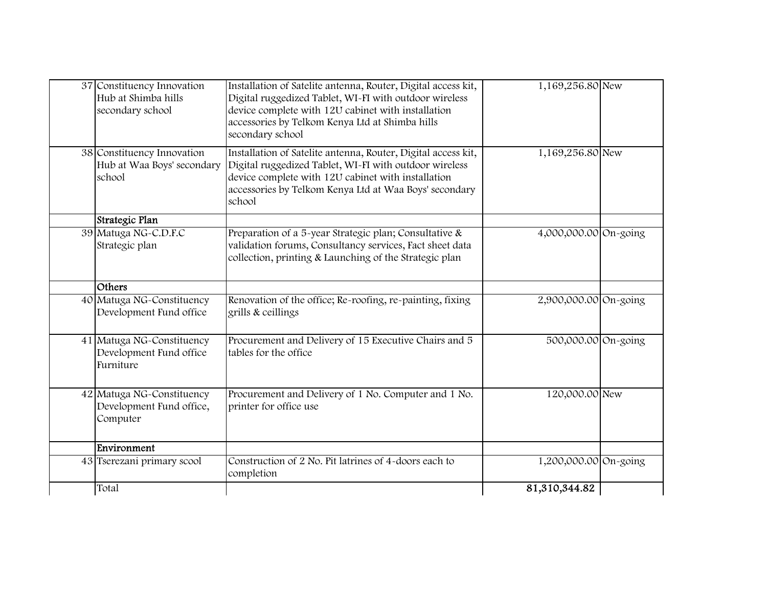| 37 Constituency Innovation<br>Hub at Shimba hills<br>secondary school | Installation of Satelite antenna, Router, Digital access kit,<br>Digital ruggedized Tablet, WI-FI with outdoor wireless<br>device complete with 12U cabinet with installation<br>accessories by Telkom Kenya Ltd at Shimba hills<br>secondary school | 1,169,256.80 New      |  |
|-----------------------------------------------------------------------|------------------------------------------------------------------------------------------------------------------------------------------------------------------------------------------------------------------------------------------------------|-----------------------|--|
| 38 Constituency Innovation<br>Hub at Waa Boys' secondary<br>school    | Installation of Satelite antenna, Router, Digital access kit,<br>Digital ruggedized Tablet, WI-FI with outdoor wireless<br>device complete with 12U cabinet with installation<br>accessories by Telkom Kenya Ltd at Waa Boys' secondary<br>school    | 1,169,256.80 New      |  |
| Strategic Plan                                                        |                                                                                                                                                                                                                                                      |                       |  |
| 39 Matuga NG-C.D.F.C<br>Strategic plan                                | Preparation of a 5-year Strategic plan; Consultative &<br>validation forums, Consultancy services, Fact sheet data<br>collection, printing & Launching of the Strategic plan                                                                         | 4,000,000.00 On-going |  |
| Others                                                                |                                                                                                                                                                                                                                                      |                       |  |
| 40 Matuga NG-Constituency<br>Development Fund office                  | Renovation of the office; Re-roofing, re-painting, fixing<br>grills & ceillings                                                                                                                                                                      | 2,900,000.00 On-going |  |
| 41 Matuga NG-Constituency<br>Development Fund office<br>Furniture     | Procurement and Delivery of 15 Executive Chairs and 5<br>tables for the office                                                                                                                                                                       | 500,000.00 On-going   |  |
| 42 Matuga NG-Constituency<br>Development Fund office,<br>Computer     | Procurement and Delivery of 1 No. Computer and 1 No.<br>printer for office use                                                                                                                                                                       | 120,000.00 New        |  |
| Environment                                                           |                                                                                                                                                                                                                                                      |                       |  |
| 43 Tserezani primary scool                                            | Construction of 2 No. Pit latrines of 4-doors each to<br>completion                                                                                                                                                                                  | 1,200,000.00 On-going |  |
| Total                                                                 |                                                                                                                                                                                                                                                      | 81,310,344.82         |  |